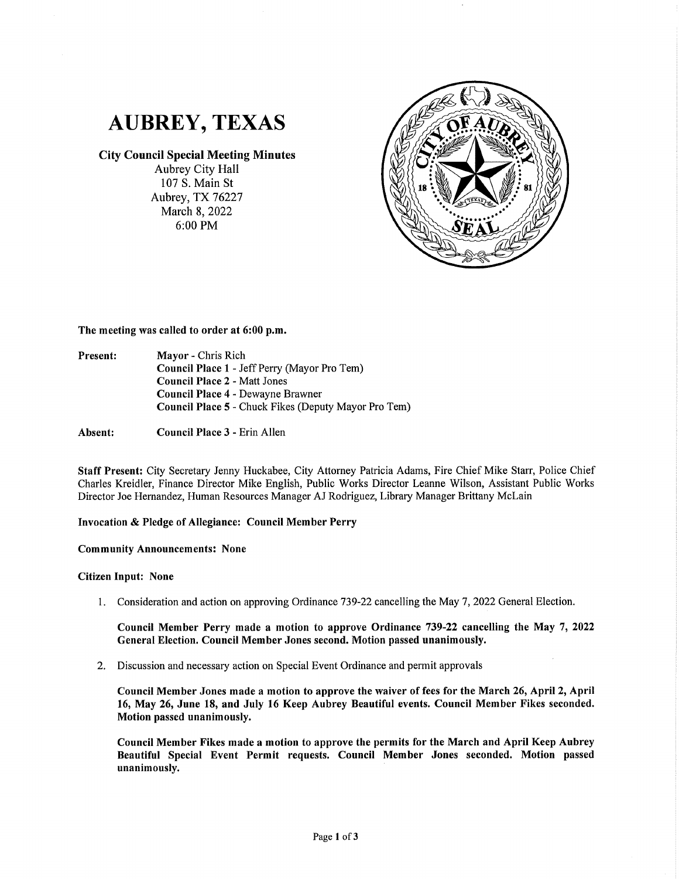

## **City Council Special Meeting Minutes**

Aubrey City Hall 107 S. Main St Aubrey, TX 76227 March 8, 2022 6:00 PM



**The meeting was called to order at 6:00 p.m.** 

- **Present: Mayor** - Chris Rich **Council Place 1** - Jeff Perry (Mayor Pro Tern) **Council Place 2** - Matt Jones **Council Place 4** - Dewayne Brawner **Council Place 5** - Chuck Fikes (Deputy Mayor Pro Tern)
- **Absent: Council Place 3** - Erin Allen

**Staff Present:** City Secretary Jenny Huckabee, City Attorney Patricia Adams, Fire Chief Mike Starr, Police Chief Charles Kreidler, Finance Director Mike English, Public Works Director Leanne Wilson, Assistant Public Works Director Joe Hernandez, Human Resources Manager AJ Rodriguez, Library Manager Brittany McLain

## **Invocation** & **Pledge of Allegiance: Council Member Perry**

**Community Announcements: None** 

## **Citizen Input: None**

I. Consideration and action on approving Ordinance 739-22 cancelling the May 7, 2022 General Election.

**Council Member Perry made a motion to approve Ordinance 739-22 cancelling the May** 7, **2022 General Election. Council Member Jones second. Motion passed unanimously.** 

2. Discussion and necessary action on Special Event Ordinance and permit approvals

**Council Member Jones made a motion to approve the waiver of fees for the March 26, April 2, April 16, May 26, June 18, and July 16 Keep Aubrey Beautiful events. Council Member Fikes seconded. Motion passed unanimously.** 

**Council Member Fikes made a motion to approve the permits for the March and April Keep Aubrey Beautiful Special Event Permit requests. Council Member Jones seconded. Motion passed unanimously.**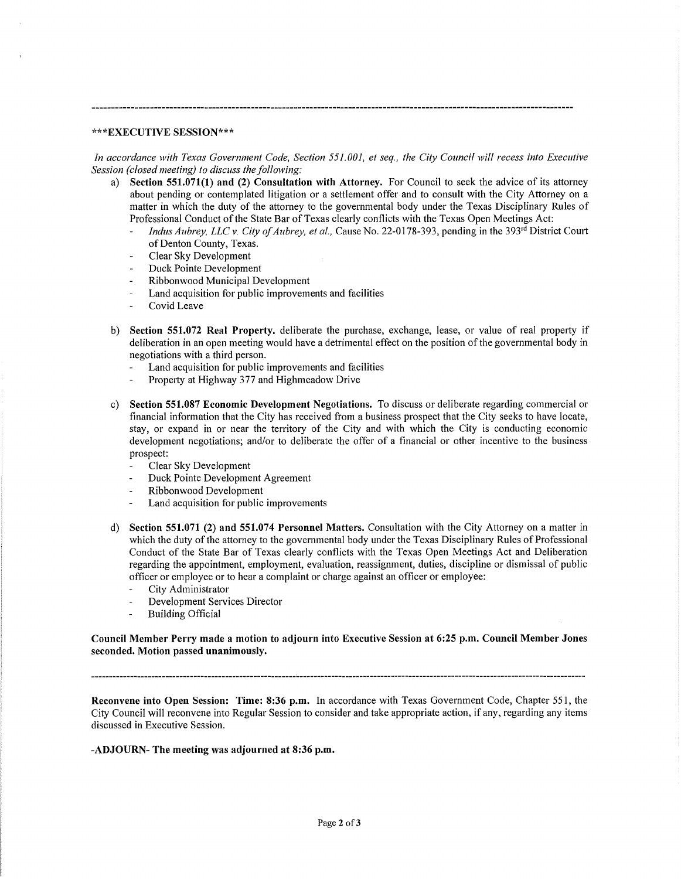## **\*\*\*EXECUTIVE SESSION\*\*\***

*In accordance with Texas Government Code, Section 551.001, et seq., the City Council will recess into Executive Session (closed meeting) to discuss the following:* 

- Section 551.071(1) and (2) Consultation with Attorney. For Council to seek the advice of its attorney about pending or contemplated litigation or a settlement offer and to consult with the City Attorney on a matter in which the duty of the attorney to the governmental body under the Texas Disciplinary Rules of Professional Conduct of the State Bar of Texas clearly conflicts with the Texas Open Meetings Act:
	- *Indus Aubrey, LLC v. City of Aubrey, et al., Cause No.* 22-0178-393, pending in the 393<sup>rd</sup> District Court of Denton County, Texas.
	- Clear Sky Development
	- Duck Pointe Development
	- Ribbonwood Municipal Development
	- Land acquisition for public improvements and facilities
	- Covid Leave
- b) **Section 551.072 Real Property.** deliberate the purchase, exchange, lease, or value of real property if deliberation in an open meeting would have a detrimental effect on the position of the governmental body in negotiations with a third person.
	- Land acquisition for public improvements and facilities
	- Property at Highway 377 and Highmeadow Drive
- c) **Section 551.087 Economic Development Negotiations.** To discuss or deliberate regarding commercial or financial information that the City has received from a business prospect that the City seeks to have locate, stay, or expand in or near the territory of the City and with which the City is conducting economic development negotiations; and/or to deliberate the offer of a financial or other incentive to the business prospect:
	- Clear Sky Development
	- Duck Pointe Development Agreement
	- Ribbonwood Development
	- Land acquisition for public improvements
- d) **Section 551.071 (2) and 551.074 Personnel Matters.** Consultation with the City Attorney on a matter in which the duty of the attorney to the governmental body under the Texas Disciplinary Rules of Professional Conduct of the State Bar of Texas clearly conflicts with the Texas Open Meetings Act and Deliberation regarding the appointment, employment, evaluation, reassignment, duties, discipline or dismissal of public officer or employee or to hear a complaint or charge against an officer or employee:
	- City Administrator
	- $\overline{a}$ Development Services Director
	- $\overline{a}$ Building Official

**Council Member Perry made a motion to adjourn into Executive Session at 6:25 p.m. Council Member Jones seconded. Motion passed unanimously.** 

**Reconvene into Open Session: Time: 8:36 p.m.** In accordance with Texas Government Code, Chapter 551, the City Council will reconvene into Regular Session to consider and take appropriate action, if any, regarding any items discussed in Executive Session.

**-ADJOURN- The meeting was adjourned at 8:36 p.m.**